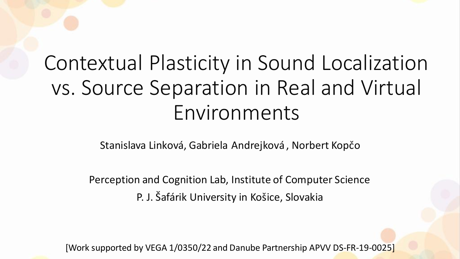# Contextual Plasticity in Sound Localization vs. Source Separation in Real and Virtual Environments

Stanislava Linková, Gabriela Andrejková , Norbert Kopčo

Perception and Cognition Lab, Institute of Computer Science P. J. Šafárik University in Košice, Slovakia

[Work supported by VEGA 1/0350/22 and Danube Partnership APVV DS-FR-19-0025]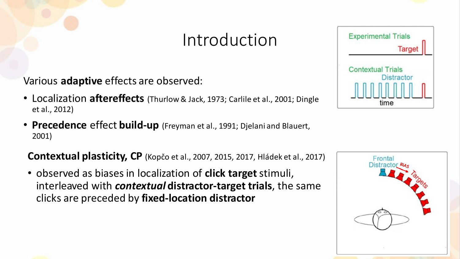### Introduction

Various **adaptive** effects are observed:

- Localization **aftereffects** (Thurlow & Jack, 1973; Carlile et al., 2001; Dingle et al., 2012)
- **Precedence** effect **build-up** (Freyman et al., 1991; Djelani and Blauert, 2001)

**Contextual plasticity, CP** (Kopčo et al., 2007, 2015, 2017, Hládek et al., 2017)

• observed as biases in localization of **click target** stimuli, interleaved with *contextual* **distractor-target trials**, the same clicks are preceded by **fixed-location distractor**





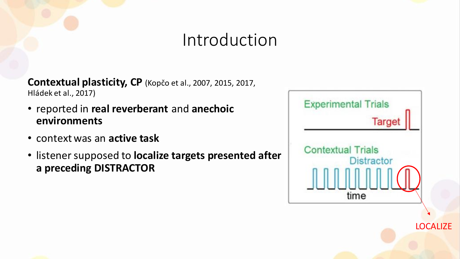#### Introduction

**Contextual plasticity, CP** (Kopčo et al., 2007, 2015, 2017, Hládek et al., 2017)

- reported in **real reverberant** and **anechoic environments**
- context was an **active task**
- listener supposed to **localize targets presented after a preceding DISTRACTOR**



**LOCALIZE** 

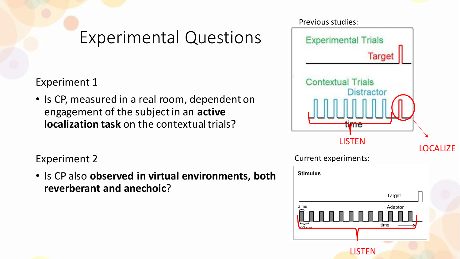### Experimental Questions

#### Experiment 1

• Is CP, measured in a real room, dependent on engagement of the subject in an **active localization task** on the contextual trials?

#### Experiment 2

• Is CP also **observed in virtual environments, both reverberant and anechoic**?

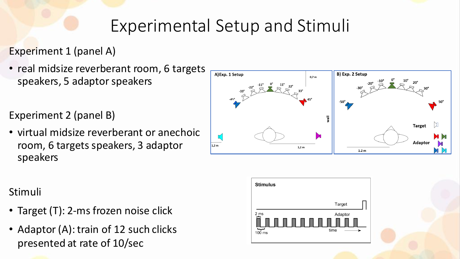### Experimental Setup and Stimuli

#### Experiment 1 (panel A)

• real midsize reverberant room, 6 targets speakers, 5 adaptor speakers

Experiment 2 (panel B)

• virtual midsize reverberant or anechoic room, 6 targets speakers, 3 adaptor speakers



#### Stimuli

- Target (T): 2-ms frozen noise click
- Adaptor (A): train of 12 such clicks presented at rate of 10/sec

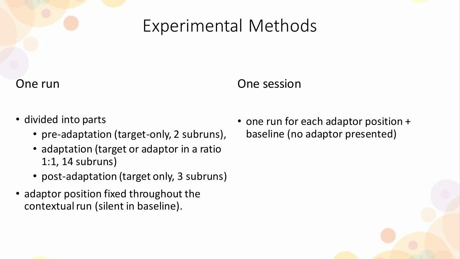#### Experimental Methods

#### One run

#### One session

- divided into parts
	- pre-adaptation (target-only, 2 subruns),
	- adaptation (target or adaptor in a ratio 1:1, 14 subruns)
	- post-adaptation (target only, 3 subruns)
- adaptor position fixed throughout the contextual run (silent in baseline).

• one run for each adaptor position + baseline (no adaptor presented)

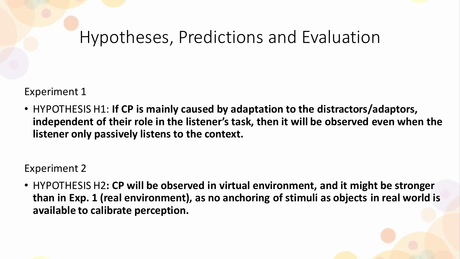#### Hypotheses, Predictions and Evaluation

Experiment 1

• HYPOTHESIS H1: **If CP is mainly caused by adaptation to the distractors/adaptors, independent of their role in the listener's task, then it will be observed even when the listener only passively listens to the context.**

Experiment 2

• HYPOTHESIS H2**: CP will be observed in virtual environment, and it might be stronger than in Exp. 1 (real environment), as no anchoring of stimuli as objects in real world is available to calibrate perception.**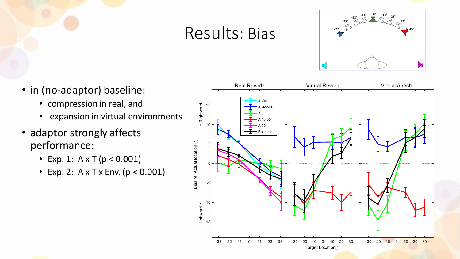#### Results: Bias



- in (no-adaptor) baseline:
	- compression in real, and
	- expansion in virtual environments
- adaptor strongly affects performance:
	- Exp. 1:  $A \times T$  ( $p < 0.001$ )
	- Exp. 2:  $A \times T \times$  Env. ( $p < 0.001$ )



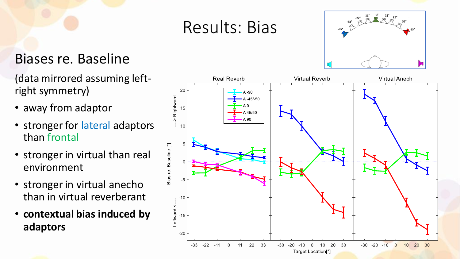#### Results: Bias

#### Biases re. Baseline

(data mirrored assuming leftright symmetry)

- away from adaptor
- stronger for lateral adaptors than frontal
- stronger in virtual than real environment
- stronger in virtual anecho than in virtual reverberant
- **contextual bias induced by adaptors**



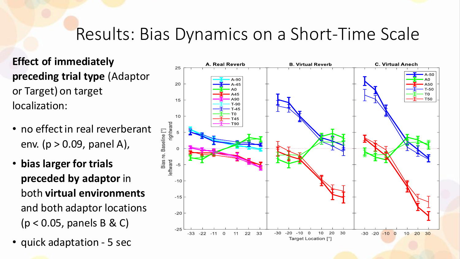### Results: Bias Dynamics on a Short-Time Scale

**Effect of immediately preceding trial type** (Adaptor or Target) on target localization:

- no effect in real reverberant env. ( $p > 0.09$ , panel A),
- **bias larger for trials preceded by adaptor** in both **virtual environments**  and both adaptor locations (p < 0.05, panels B & C)
- quick adaptation 5 sec

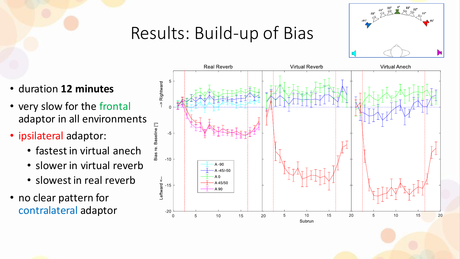## Results: Build-up of Bias



- duration **12 minutes**
- very slow for the frontal adaptor in all environments
- ipsilateral adaptor:
	- fastest in virtual anech
	- slower in virtual reverb
	- slowest in real reverb
- no clear pattern for contralateral adaptor

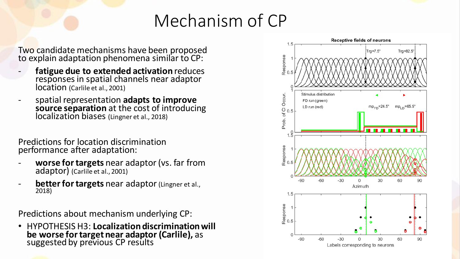### Mechanism of CP

Two candidate mechanisms have been proposed to explain adaptation phenomena similar to CP:

- **fatigue due to extended activation** reduces responses in spatial channels near adaptor location (Carlile et al., 2001)
- spatial representation **adapts to improve source separation** at the cost of introducing localization biases (Lingner et al., 2018)

Predictions for location discrimination performance after adaptation:

- **worse for targets** near adaptor (vs. far from adaptor) (Carlile et al., 2001)
- **better for targets** near adaptor (Lingner et al., 2018)

Predictions about mechanism underlying CP:

• HYPOTHESIS H3: **Localization discrimination will be worse for target near adaptor (Carlile),** as suggested by previous CP results

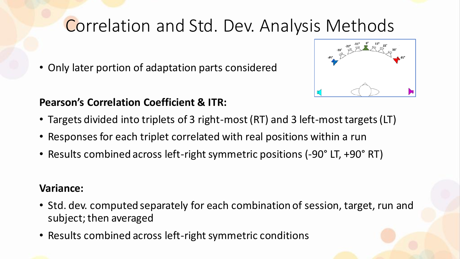### Correlation and Std. Dev. Analysis Methods

• Only later portion of adaptation parts considered

#### **Pearson's Correlation Coefficient & ITR:**

- Targets divided into triplets of 3 right-most (RT) and 3 left-most targets (LT)
- Responses for each triplet correlated with real positions within a run
- Results combined across left-right symmetric positions (-90° LT, +90° RT)

#### **Variance:**

- Std. dev. computed separately for each combination of session, target, run and subject; then averaged
- Results combined across left-right symmetric conditions

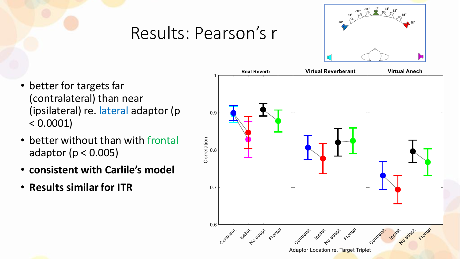### Results: Pearson's r



- better for targets far (contralateral) than near (ipsilateral) re. lateral adaptor (p  $< 0.0001$ )
- better without than with frontal adaptor (p < 0.005)
- **consistent with Carlile's model**
- **Results similar for ITR**

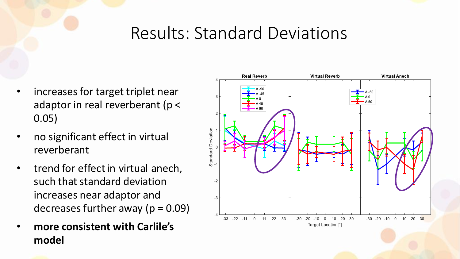### Results: Standard Deviations

- increases for target triplet near adaptor in real reverberant (p < 0.05)
- no significant effect in virtual reverberant
- trend for effect in virtual anech, such that standard deviation increases near adaptor and decreases further away ( $p = 0.09$ )
- **more consistent with Carlile's model**

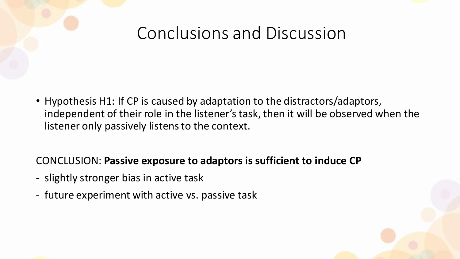### Conclusions and Discussion

• Hypothesis H1: If CP is caused by adaptation to the distractors/adaptors, independent of their role in the listener's task, then it will be observed when the listener only passively listens to the context.

#### CONCLUSION: **Passive exposure to adaptors is sufficient to induce CP**

- slightly stronger bias in active task
- future experiment with active vs. passive task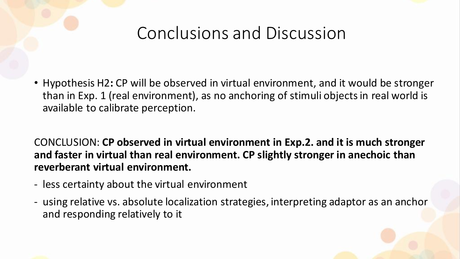## Conclusions and Discussion

• Hypothesis H2**:** CP will be observed in virtual environment, and it would be stronger than in Exp. 1 (real environment), as no anchoring of stimuli objects in real world is available to calibrate perception.

#### CONCLUSION: **CP observed in virtual environment in Exp.2. and it is much stronger and faster in virtual than real environment. CP slightly stronger in anechoic than reverberant virtual environment.**

- less certainty about the virtual environment
- using relative vs. absolute localization strategies, interpreting adaptor as an anchor and responding relatively to it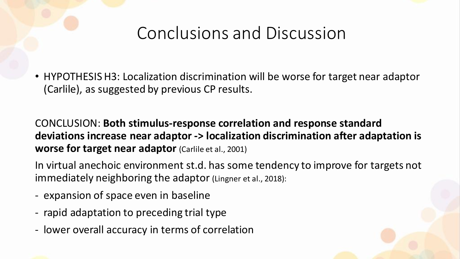### Conclusions and Discussion

• HYPOTHESIS H3: Localization discrimination will be worse for target near adaptor (Carlile), as suggested by previous CP results.

CONCLUSION: **Both stimulus-response correlation and response standard deviations increase near adaptor -> localization discrimination after adaptation is worse for target near adaptor** (Carlile et al., 2001)

In virtual anechoic environment st.d. has some tendency to improve for targets not immediately neighboring the adaptor (Lingner et al., 2018):

- expansion of space even in baseline
- rapid adaptation to preceding trial type
- lower overall accuracy in terms of correlation

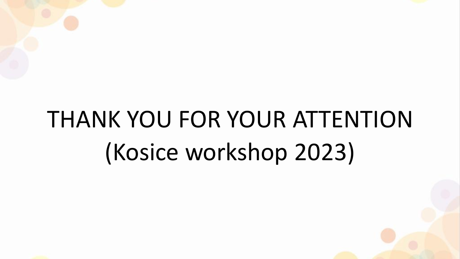# THANK YOU FOR YOUR ATTENTION (Kosice workshop 2023)